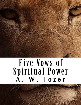# Five Vows of Spiritual Power Â. W. Tozer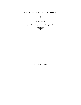# **FIVE VOWS FOR SPIRITUAL POWER**

*By*

# *A. W. Tozer*

*pastor, preacher, author, magazine editor, spiritual mentor*



First published in 1962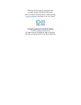Please see the back page for more great titles available through CrossReach Publications.

And if you enjoyed this book please consider leaving a review on [Amazon.](https://www.amazon.com/review/review-your-purchases) That helps us out a lot. Thanks.



#### **Available in paperback and eBook editions**

© 2016 CrossReach [Publications](https://www.amazon.com/s/ref=nb_sb_noss_2?url=search-alias%3Daps&field-keywords=crossreach+publications) All rights reserved, including the right to reproduce this book or portions thereof in any form whatsoever.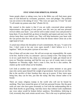# **FIVE VOWS FOR SPIRITUAL POWER**

Some people object to taking vows, but in the Bible you will find many great men of God directed by covenants, promises, vows and pledges. The psalmist was not averse to the taking of vows: "Thy vows are upon me, O God," he said. "I will render my praises unto thee" (Psalm 56:12).

My counsel in this matter is that if you are really concerned about spiritual improvement—the gaining of new power, new life, new joy and new personal revival within your heart—you will do well to make certain vows and proceed to keep them. If you should fail, go down in humility and repent and start over. But always keep these vows before you. They will help harmonize your heart with the vast powers that flow out and down from the throne where Christ sits at the right hand of God.

A carnal man refuses the discipline of such commitments. He says, "I want to be free. I don't want to lay any vows upon myself; I don't believe in it. It is legalism." Well, let me paint a picture of two men.

One of them will not take vows. He will not accept any responsibility. He wants to be free. And he is free, in a measure—just as a tramp is free. The tramp is free to sit on a park bench by day, sleep on a newspaper by night, get chased out of town on Thursday morning, and find his way up a set of creaky stairs in some flophouse on Thursday night. Such a man is free, but he is also useless. He clutters up the world whose air he breathes.

Let's look at another man—maybe a president or prime minister or any great man who carries upon himself the weight of government. Such men are not free. But in the sacrifice of their freedom they step up in power. If they insist upon being free, they can be free, just like the tramp. But they choose rather to be bound.

There are many religious tramps in the world who will not be bound by anything. They have turned the grace of God into personal license. But the great souls are ones who have gone reverently to God with the understanding that in their flesh dwells no good thing. And they know that without God's enablement any vows taken would be broken before sundown. Nevertheless, believing in God, reverently they took certain sacred vows. This is the way to spiritual power.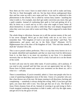Now there are five vows I have in mind which we do well to make and keep. The first is: Deal thoroughly with sin. Sin has been driven underground these days and has come up with a new name and face. You may be subjected to this phenomenon in the schools. Sin is called by various fancy names—anything but what it really is. For example, men don't get under conviction any more; they get a guilt complex. Instead of confessing their guilt to God and getting rid of it, they lie down on a couch and try to tell a man who ought to know better all about themselves. It comes out after a while that they were deeply disappointed when they were two years old or some such thing. That's supposed to make them better.

The whole thing is ridiculous, because sin is still the ancient enemy of the soul. It has never changed. We've got to deal firmly with sin in our lives. Let's remember that. "The kingdom of God is not meat and drink," said Paul, "but righteousness, and peace, and joy in the Holy Ghost" (Romans 14:17). Righteousness lies at the door of the kingdom of God. "The soul that sinneth, it shall die" (Ezekiel 18:4, 20).

This is not to preach sinless perfection. This is to say that every known sin is to be named, identified and repudiated, and that we must trust God for deliverance from it, so that there is no more sin anywhere in our lives. It is absolutely necessary that we deal thus, because God is a holy God and sin is on the throne of the world.

So don't call your sins by some other name. If you're jealous, call it jealousy. If you tend to pity yourself and feel that you are not appreciated, but are like a flower born to blush unseen and waste your sweetness on the desert air, call it what it is — self-pity.

There is resentfulness. If you're resentful, admit it. I have met people who live in a state of sputtering indignation most of the time. I know of a preacher who acts like a hen thrown out of the nest. He keeps running in all directions clucking and complaining — somebody is always doing him wrong. Well, if you have got that spirit, you must deal with it now. You must get that out of you. The blood of Jesus Christ cleanses from all sin. Instead of covering it up and trying to find a Greek marginal rendering somewhere to hide it under, call it by the right name, and get rid of it by the grace of God.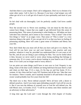And then there is your temper. Don't call it indignation. Don't try to christen it by some other name. Call it chat it is. Because if you have a bad temper you will either get rid of it or it will get rid of much of your spirituality and most of your joy.

So let's deal with sin thoroughly. Let's be perfectly candid. God loves candid people.

Now the second vow is: Never own anything. I do not mean by this that you cannot have things. I mean that you ought to get delivered from this sense of possessing them. This sense of possessing is what hinders us. All babies are born with their fists clenched, and it seems to me it means: "This is mine!" One of the first things is "mine" in an angry voice. That sense of "This is mine" is a very injurious thing to the spirit. If you can get rid of it so that you have no feeling of possessing anything, there will come a great sense of freedom and liberty into your life.

Now don't think that you must sell all that you have and give it to charity. No, God will let you have your car and your business, your practice and your position, whatever it may be, provided you understand that it is not yours at all, but His, and all you are doing is just working for Him. You can be restful about it then, because we never need to worry about losing anything that belongs to someone else. If it is yours, you're always looking in your hand to see if it's still there. If it's God's you no longer need to worry about it.

Let me point out some things you'll have to turn over to God. Property is one thing. Some of the dear Lord's children are being held back because there's a ball and chain on their legs. If it's a man, it's his big car and fine home. If it's a woman, it's her china and her Louis XIV furniture and all the rest. Take that vase for instance. There it stands, and if anybody knocked it off and broke it the poor owner would probably lose five years from her life!

The third vow is this: Never defend yourself. We're all born with a desire to defend ourselves. And if you insist upon defending yourself, God will let you do it. But if you turn the defense of yourself over to God He will defend you. He told Moses once, in Exodus 23:22: "I will be an enemy unto thine enemies and an adversary to thine adversaries."

A long time ago the Lord and I went through the 23rd chapter of Exodus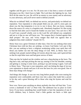together and He gave it to me. For 30 years now it has been a source of untold blessing to my life. I don't have to fight. The Lord does the fighting for me. And He'll do the same for you. He will be an enemy to your enemy and an adversary to your adversary, and you'll never need to defend yourself.

What do we defend? Well, we defend our service, and particularly we defend our reputation. Your reputation is what people think you are, and if a story gets out about you the big temptation is to try to run it down. But you know, running down the source of a story is a hopeless task. Absolutely hopeless! It's like trying to find the bird after you've found the feather on your lawn. You can't do it. But if you'll turn yourself wholly over to the Lord He will defend you completely and see to it that no one will harm you. "No weapon that is formed against thee shall prosper." He says, and "every tongue that shall rise against thee in judgment thou shalt condemn" (Isaiah 54:17).

Henry Suso was a great Christian of other days. Once he was seeking what some Christians have told me they are seeking—to know God better. Let's put it like this: you are seeking to have a religious awakening within your spirit that will thrust you farther out into the deep things of God. Well, as Henry Suso was seeking God, people started telling evil stories about the man, and it grieved him so that he wept bitter tears and had great sorrow of heart.

Then one day he looked out the window and saw a dog playing on the lawn. The dog had a mat, and kept picking the mat up, tossing it over his shoulder, running and getting it, tossing it some more, picking it up and tossing it again. God said to Henry Suso, "That mat is your reputation, and I am letting the dogs of sin tear your reputation to shreds and toss it all over the lawn for your own good. One of these days things will change."

And things did change. It was not very long before people who were tearing his reputation were confounded, and Suso rose into a place that made him a power in his day and a great blessing still to those who sing his hymns and read his works.

Next vow; Never pass anything on about anybody else that will hurt him. "Love covers a multitude of sins" (1 Peter 4:8). The talebearer has no place in God's favor. If you know something that would hinder or hurt the reputation of one of God's children, bury it forever. Find a little garden out back—a little spot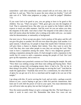somewhere—and when somebody comes around with an evil story, take it out and bury it, and say, "Here lies in peace the story about my brother." God will take care of it. "With what judgment ye judge, ye shall be judged" (Matthew 7:2).

If you want God to be good to you, you are going to have to be good to His children. You say, "That's not grace." Well, grace gets you into the kingdom of God. That is unmerited favor. But after you are seated at the Father's table He expects to teach you table manners. And He won't let you eat unless you obey the etiquette of the table. And what is that? The etiquette of the table is that you don't tell stories about the brother who is sitting at the table with you—no matter what his denomination, or nationality or background.

Our next vow is: Never accept any glory. God is jealous of His glory and He will not give His glory to another. He will not even share His glory with another. It is quite natural, I should say, for people to hope that maybe their Christian service will give them a chance to display their talents. True, they want to serve the Lord. But they also want other people to now they are serving the Lord. They want to have a reputation among the saints. That is very dangerous ground seeking a reputation among the saints. It's bad enough to seek a reputation in the world, but it's worse to seek a reputation among the people of God. Our Lord gave up His reputation, and so must we.

Meister Eckhart once preached a sermon on Christ cleansing the temple. He said, "Now there was nothing wrong with those men selling and buying there. There was nothing wrong with exchanging money there; it had to be. The sin lay in their doing it for profit. They got a percentage on serving the Lord." And then he made the application: "Anybody that serves for a commission, for what little bit of glory he can get out of it, he is a merchant and he ought to be cast out of the temple."

I go along with this. If you're serving the Lord, and yet slyly—perhaps scarcely known to you—you're hoping to get just a little five percent commission, then look out! It will chill the power of God in your spirit. You must determine that you will never take any glory, but see that God gets it all.

Now the easiest possible thing is to give a message like this. The hard thing is to make it work in one's own life. Remember that these five vows are not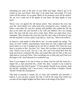something you write in the back of your Bible and forget. They've got to be written in your own blood. They have to be made final, irrevocable. If it only comes off the surface, it's no good. Much of our promises come off the surface. No, no. Let it come out of the depths of your heart, the deep depths of your spirit.

Theses vows cut against the old human nature. They introduce the cross into your life. And nobody ever walks back from carrying his cross—nobody, ever. When a man takes his cross he's already said goodbye. He's pulled the roll top shut on his desk and said farewell to his wife and children. He's not coming back. The man with the cross never comes back. When you make these vows, remember: They introduce the cross into your life, they strike at the heart of your self-life and there is never a place to go back to. And I say, "Woe to the triflers!"

In America—and maybe in other places, too—so many people are saying, "Try Jesus, try God!" Triflers, experimenters, tasters they are. Like a rabbit with a half dozen holes so if one is stopped up he can flee to another! No! From the cross there is no place to flee. You don't "try" Jesus. He's not there to be experimental with. Christ is not on trial. You are. I am. He's not! God raised Him from the dead and forever confirmed His deity and sealed Him and set Him at His own right hand as Lord and Christ. Turn everything over to Him and you'll find your life begin to lift. You'll blossom in a wonderful way.

Now, if you happen to be one of those on whom God has laid His hand for a deeper life, a more powerful life, a fuller life, then I wonder if you would be willing to pray this kind of prayer: "O God, glorify Thyself at my expense. Send me the bill—anything, Lord. I set no price. I will not dicker or bargain. Glorify Thyself. I'll take the consequence."

This kind of praying is simple, but it's deep and wonderful and powerful. I believe, if you can pray a prayer like that, it will be the ramp from which you can take off into higher heights and bluer skies in the things of the Spirit.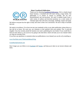

#### **About CrossReach Publications**

Thank you for choosing CrossReach [Publications](https://www.amazon.com/s/ref=nb_sb_noss_2?url=search-alias%3Daps&field-keywords=crossreach+publications). We're a family based home business. A husband and wife team raising a large family. Our philosophy is to remain as neutral as possible. We are nondenominational and non-sectarian. We seek to publish books from a wide variety of authors and doctrinal positions, on a wide variety of Christian topics that will teach, encourage, challenge, inspire and equip.

We believe everyone has the right to study and come to their own conclusions. We aim to help to facilitate that end.

We aspire to excellence. If we have not met your standards in this or any other publication, please drop us a line and let us know. We want you, our customer, to feel satisfied with your product. Our 11-year-old daughter Amy has recently joined the business now and is publishing her own books! If you would like to find out more about us, you can do so by going to the link below which will take you to our channel where we vlog our everyday lives:

If you have any questions or comments about our publications or our channel you can do so by emailing us.

[www.YouTube.com/c/TheKinsellaBunchVlog](http://www.YouTube.com/c/TheKinsellaBunchVlog)

#### [CrossReach@outlook.com](mailto:CrossReach@outlook.com)

Don't forget you can follow us on [Facebook](https://www.facebook.com/CrossReachPublications) and [Twitter](https://twitter.com/CrossReachPub), and keep up to date on our newest releases and deals.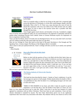#### **Also from CrossReach Publications**



A. W. TOZER

## God Still [Speaks](http://www.amazon.com/gp/product/B00NLQQ6XA)

A. W. Tozer

Tozer is as popular today as when he was living on the earth. He is respected right across the spectrum of Christianity, in circles that would disagree sharply with him doctrinally. Why is this? A. W. Tozer was a man who knew the voice of God. He shared this experience with every true child of God. With all those who are called by the grace of God to share in the mystical union that is possible with Him through His Son Jesus.

Tozer fought against much dryness and formality in his day. Considered a mighty

man of God by most Evangelicals today, he was unconventional in his approach to spirituality and had no qualms about consulting everyone from Catholic Saints to German Protestant mystics for inspiration on how to experience God more fully.

Tozer, just like his Master, doesn't fit neatly into our theological boxes. He was a man after God's own heart and was willing to break the rules (man-made ones that is) to get there.

Here are two writings by Tozer that touch on the heart of this goal. Revelation is Not Enough and The Speaking Voice. A bonus chapter The Menace of the Religious Movie is included.

This is meat to sink your spiritual teeth into. Tozer's writings will show you the way to satisfy your spiritual hunger.

—Dave Kinsella



How to Be [Filled](http://www.amazon.com/gp/product/B015OTDWLU) with the Holy Spirit A. W. Tozer

Before we deal with the question of how to be filled with the Holy Spirit, there are some matters which first have to be settled. As believers you have to get them out of the way, and right here is where the difficulty arises. I have been afraid that my listeners might have gotten the idea somewhere that I had a how-to-be-filled-withthe-Spirit-in-five-easy-lessons doctrine, which I could give you. If you can have any such vague ideas as that, I can only stand before you and say, "I am sorry"; because it isn't true; I can't give you such a course. There are some things, I say,

that you have to get out of the way, settled.



The Waning [Authority](http://www.amazon.com/gp/product/B017YGK0V6) of Christ in the Churches A. W. Tozer

This book has been described by James L. Snyder as Tozer's valedictory. It was his last message ever given to God's people. Written shortly before his death in 1963, it was published two days after his death. It is a challenging message to all who want to walk with Christ.

"HERE IS THE BURDEN of my heart; and while I claim for myself no special inspiration I yet feel that this is also the burden of the Spirit. If I know my own

heart it is love alone that moves me to write this. What I write here is not the sour ferment of a mind agitated by contentions with my fellow Christians. There have been no such contentions. I have not been abused, mistreated or attacked by anyone. Nor have these observations grown out of any unpleasant experiences that I have had in my association with others. My relations with my own church as well as with